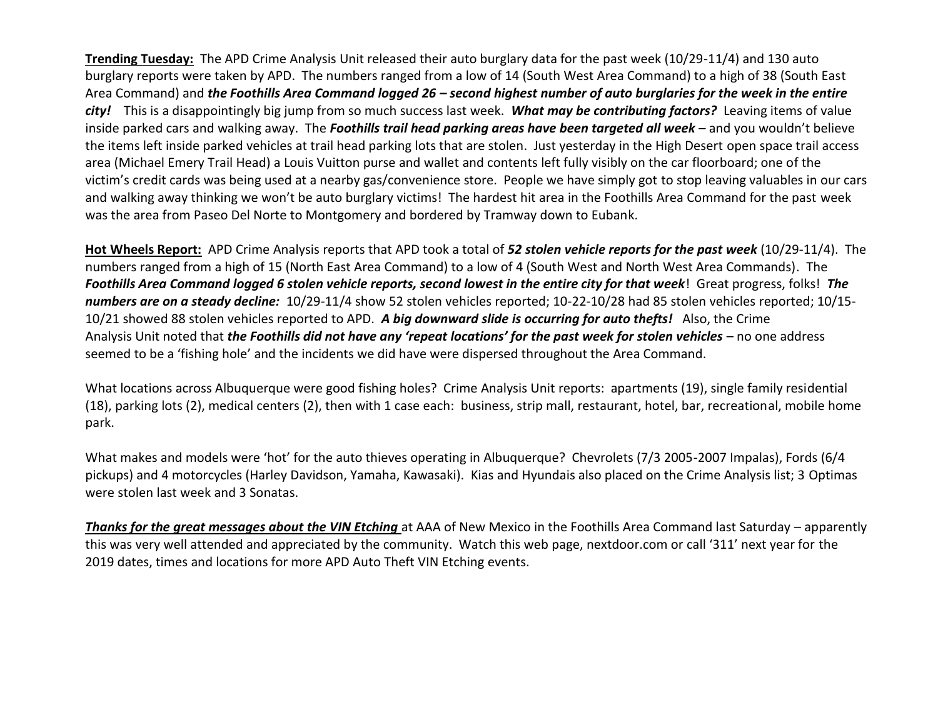**Trending Tuesday:** The APD Crime Analysis Unit released their auto burglary data for the past week (10/29-11/4) and 130 auto burglary reports were taken by APD. The numbers ranged from a low of 14 (South West Area Command) to a high of 38 (South East Area Command) and *the Foothills Area Command logged 26 – second highest number of auto burglaries for the week in the entire city!* This is a disappointingly big jump from so much success last week. *What may be contributing factors?* Leaving items of value inside parked cars and walking away. The *Foothills trail head parking areas have been targeted all week* – and you wouldn't believe the items left inside parked vehicles at trail head parking lots that are stolen. Just yesterday in the High Desert open space trail access area (Michael Emery Trail Head) a Louis Vuitton purse and wallet and contents left fully visibly on the car floorboard; one of the victim's credit cards was being used at a nearby gas/convenience store. People we have simply got to stop leaving valuables in our cars and walking away thinking we won't be auto burglary victims! The hardest hit area in the Foothills Area Command for the past week was the area from Paseo Del Norte to Montgomery and bordered by Tramway down to Eubank.

**Hot Wheels Report:** APD Crime Analysis reports that APD took a total of *52 stolen vehicle reports for the past week* (10/29-11/4). The numbers ranged from a high of 15 (North East Area Command) to a low of 4 (South West and North West Area Commands). The *Foothills Area Command logged 6 stolen vehicle reports, second lowest in the entire city for that week*! Great progress, folks! *The numbers are on a steady decline:* 10/29-11/4 show 52 stolen vehicles reported; 10-22-10/28 had 85 stolen vehicles reported; 10/15- 10/21 showed 88 stolen vehicles reported to APD. *A big downward slide is occurring for auto thefts!* Also, the Crime Analysis Unit noted that *the Foothills did not have any 'repeat locations' for the past week for stolen vehicles* – no one address seemed to be a 'fishing hole' and the incidents we did have were dispersed throughout the Area Command.

What locations across Albuquerque were good fishing holes? Crime Analysis Unit reports: apartments (19), single family residential (18), parking lots (2), medical centers (2), then with 1 case each: business, strip mall, restaurant, hotel, bar, recreational, mobile home park.

What makes and models were 'hot' for the auto thieves operating in Albuquerque? Chevrolets (7/3 2005-2007 Impalas), Fords (6/4 pickups) and 4 motorcycles (Harley Davidson, Yamaha, Kawasaki). Kias and Hyundais also placed on the Crime Analysis list; 3 Optimas were stolen last week and 3 Sonatas.

*Thanks for the great messages about the VIN Etching* at AAA of New Mexico in the Foothills Area Command last Saturday – apparently this was very well attended and appreciated by the community. Watch this web page, nextdoor.com or call '311' next year for the 2019 dates, times and locations for more APD Auto Theft VIN Etching events.